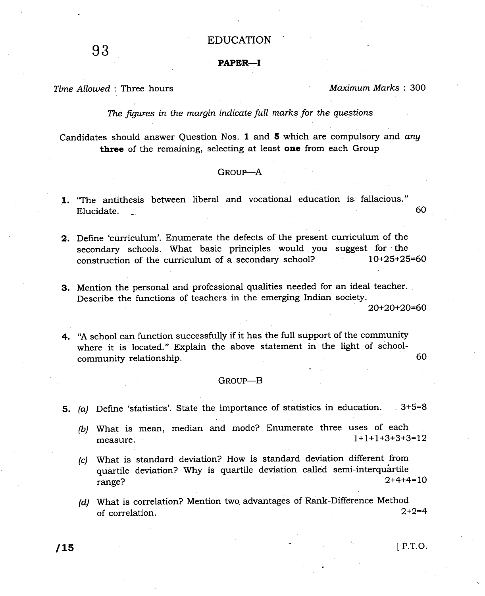## EDUCATION

## PAPER-I

# Time Allowed: Three hours Maximum Marks: 300

The figures in the margin indicate full marks for the questions

Candidates should answer Question Nos. 1 and 5 which are compulsory and any three of the remaining, selecting at least one from each Group

### GROUP-A

- 1. 'The antithesis between liberal and vocational education is fallacious."<br>Elucidate. elucidate. Notes that the contract of the contract of the contract of the contract of the contract of the contract of the contract of the contract of the contract of the contract of the contract of the contract of the cont
- 2. Define 'curriculum'. Enumerate the defects of the present curriculum of the secondary schools. What basic principles would you suggest for the<br>construction of the curriculum of a secondary school?  $10+25+25=60$ construction of the curriculum of a secondary school?
- 3. Mention the personal and professional qualities needed for an ideal teacher. Describe the functions of teachers in the emerging Indian society.

20+20+2O=60

4. 'A school can function successfully if it has the full support of the community where it is located." Explain the above statement in the light of schoolcommunity relationship. 60

#### GROUP-B

- 5. (a) Define 'statistics'. State the importance of statistics in education.  $3+5=8$ 
	- (b) what is mean, median and mode? Enumerate three uses of each measure. 1+1+1+3+3+3=12
	- (c) What is standard deviation? How is standard deviation different from quartile deviation? Why is quartile deviation called semi-interquartile<br> $r = 2 + 4 + 4 = 10$ range? 2+4+4=10
	- (d) What is correlation? Mention two advantages of Rank-Difference Method of correlation  $2+2=4$ of correlation.

 $\sqrt{15}$  [P.T.O.